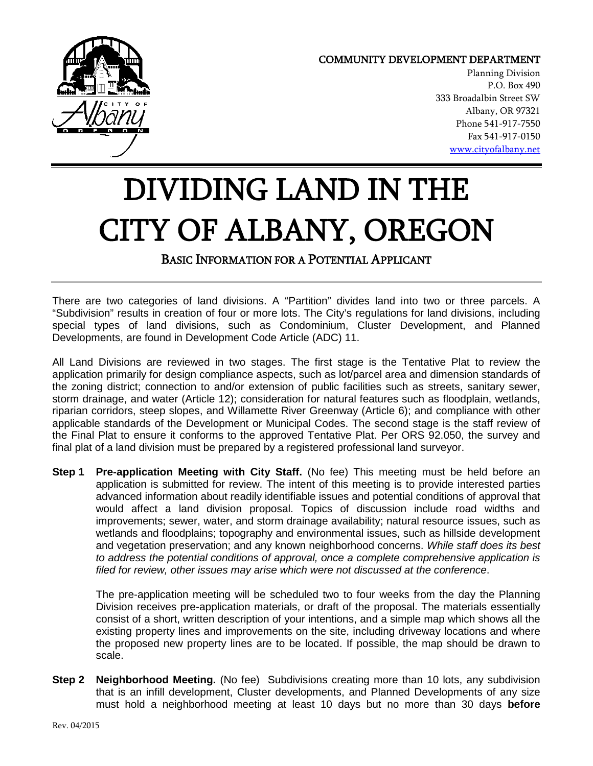

## COMMUNITY DEVELOPMENT DEPARTMENT

Planning Division P.O. Box 490 333 Broadalbin Street SW Albany, OR 97321 Phone 541-917-7550 Fax 541-917-0150 [www.cityofalbany.net](http://www.cityofalbany.net/)

## DIVIDING LAND IN THE CITY OF ALBANY, OREGON

BASIC INFORMATION FOR A POTENTIAL APPLICANT

There are two categories of land divisions. A "Partition" divides land into two or three parcels. A "Subdivision" results in creation of four or more lots. The City's regulations for land divisions, including special types of land divisions, such as Condominium, Cluster Development, and Planned Developments, are found in Development Code Article (ADC) 11.

All Land Divisions are reviewed in two stages. The first stage is the Tentative Plat to review the application primarily for design compliance aspects, such as lot/parcel area and dimension standards of the zoning district; connection to and/or extension of public facilities such as streets, sanitary sewer, storm drainage, and water (Article 12); consideration for natural features such as floodplain, wetlands, riparian corridors, steep slopes, and Willamette River Greenway (Article 6); and compliance with other applicable standards of the Development or Municipal Codes. The second stage is the staff review of the Final Plat to ensure it conforms to the approved Tentative Plat. Per ORS 92.050, the survey and final plat of a land division must be prepared by a registered professional land surveyor.

**Step 1 Pre-application Meeting with City Staff.** (No fee) This meeting must be held before an application is submitted for review. The intent of this meeting is to provide interested parties advanced information about readily identifiable issues and potential conditions of approval that would affect a land division proposal. Topics of discussion include road widths and improvements; sewer, water, and storm drainage availability; natural resource issues, such as wetlands and floodplains; topography and environmental issues, such as hillside development and vegetation preservation; and any known neighborhood concerns. *While staff does its best to address the potential conditions of approval, once a complete comprehensive application is filed for review, other issues may arise which were not discussed at the conference*.

The pre-application meeting will be scheduled two to four weeks from the day the Planning Division receives pre-application materials, or draft of the proposal. The materials essentially consist of a short, written description of your intentions, and a simple map which shows all the existing property lines and improvements on the site, including driveway locations and where the proposed new property lines are to be located. If possible, the map should be drawn to scale.

**Step 2 Neighborhood Meeting.** (No fee) Subdivisions creating more than 10 lots, any subdivision that is an infill development, Cluster developments, and Planned Developments of any size must hold a neighborhood meeting at least 10 days but no more than 30 days **before**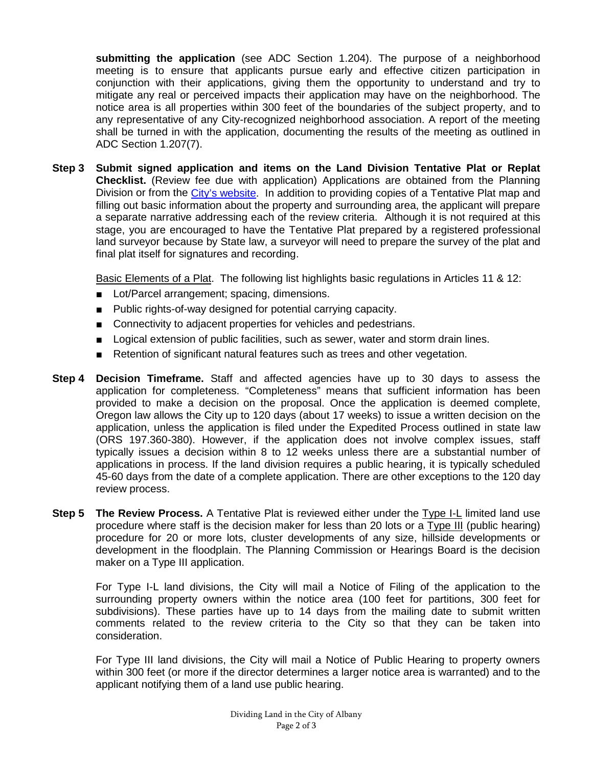**submitting the application** (see ADC Section 1.204). The purpose of a neighborhood meeting is to ensure that applicants pursue early and effective citizen participation in conjunction with their applications, giving them the opportunity to understand and try to mitigate any real or perceived impacts their application may have on the neighborhood. The notice area is all properties within 300 feet of the boundaries of the subject property, and to any representative of any City-recognized neighborhood association. A report of the meeting shall be turned in with the application, documenting the results of the meeting as outlined in ADC Section 1.207(7).

**Step 3 Submit signed application and items on the Land Division Tentative Plat or Replat Checklist.** (Review fee due with application) Applications are obtained from the Planning Division or from the [City's website.](http://www.cityofalbany.net/departments/community-development/drc/a-z-forms-and-checklists) In addition to providing copies of a Tentative Plat map and filling out basic information about the property and surrounding area, the applicant will prepare a separate narrative addressing each of the review criteria. Although it is not required at this stage, you are encouraged to have the Tentative Plat prepared by a registered professional land surveyor because by State law, a surveyor will need to prepare the survey of the plat and final plat itself for signatures and recording.

Basic Elements of a Plat. The following list highlights basic regulations in Articles 11 & 12:

- Lot/Parcel arrangement; spacing, dimensions.
- Public rights-of-way designed for potential carrying capacity.
- Connectivity to adjacent properties for vehicles and pedestrians.
- Logical extension of public facilities, such as sewer, water and storm drain lines.
- Retention of significant natural features such as trees and other vegetation.
- **Step 4 Decision Timeframe.** Staff and affected agencies have up to 30 days to assess the application for completeness. "Completeness" means that sufficient information has been provided to make a decision on the proposal. Once the application is deemed complete, Oregon law allows the City up to 120 days (about 17 weeks) to issue a written decision on the application, unless the application is filed under the Expedited Process outlined in state law (ORS 197.360-380). However, if the application does not involve complex issues, staff typically issues a decision within 8 to 12 weeks unless there are a substantial number of applications in process. If the land division requires a public hearing, it is typically scheduled 45-60 days from the date of a complete application. There are other exceptions to the 120 day review process.
- **Step 5 The Review Process.** A Tentative Plat is reviewed either under the Type I-L limited land use procedure where staff is the decision maker for less than 20 lots or a Type III (public hearing) procedure for 20 or more lots, cluster developments of any size, hillside developments or development in the floodplain. The Planning Commission or Hearings Board is the decision maker on a Type III application.

For Type I-L land divisions, the City will mail a Notice of Filing of the application to the surrounding property owners within the notice area (100 feet for partitions, 300 feet for subdivisions). These parties have up to 14 days from the mailing date to submit written comments related to the review criteria to the City so that they can be taken into consideration.

For Type III land divisions, the City will mail a Notice of Public Hearing to property owners within 300 feet (or more if the director determines a larger notice area is warranted) and to the applicant notifying them of a land use public hearing.